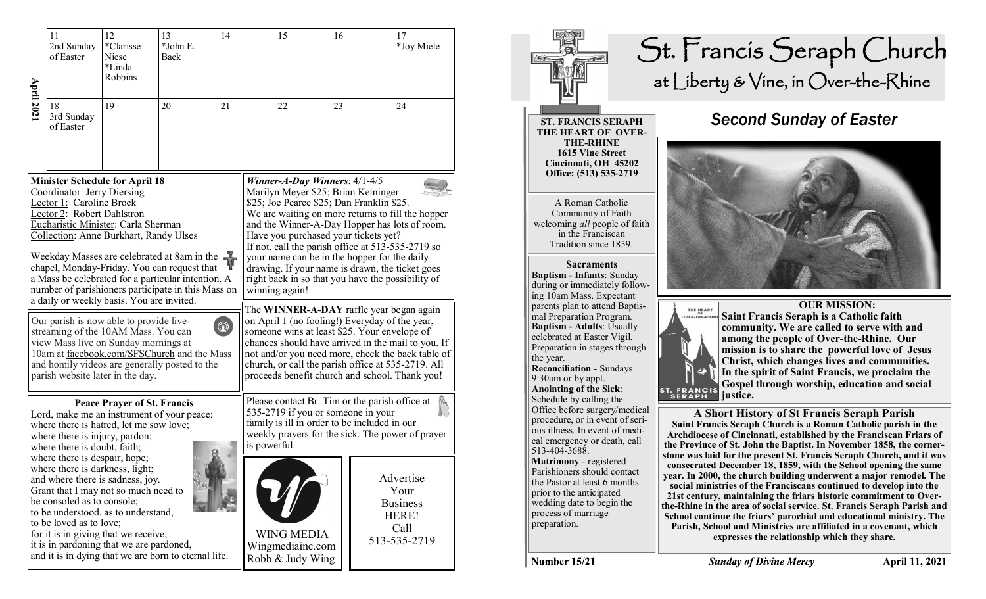|                                                                                                                                                                                                                                                                                                                                                                                                                           | 11<br>2nd Sunday<br>of Easter                                                                                                                                                                                                                                                                                                                                                                                                                                                                                                                                                             | 12<br>*Clarisse<br>Niese<br>*Linda<br>Robbins | 13<br>*John E.<br>Back | 14 |                                                                                                                                                                                                                                                                                                                                                                                                                                                                                                  | 15                                                                                                                                                                                                                                                                                                                                                            | 16 |  | 17<br>*Joy Miele                                                      |  |
|---------------------------------------------------------------------------------------------------------------------------------------------------------------------------------------------------------------------------------------------------------------------------------------------------------------------------------------------------------------------------------------------------------------------------|-------------------------------------------------------------------------------------------------------------------------------------------------------------------------------------------------------------------------------------------------------------------------------------------------------------------------------------------------------------------------------------------------------------------------------------------------------------------------------------------------------------------------------------------------------------------------------------------|-----------------------------------------------|------------------------|----|--------------------------------------------------------------------------------------------------------------------------------------------------------------------------------------------------------------------------------------------------------------------------------------------------------------------------------------------------------------------------------------------------------------------------------------------------------------------------------------------------|---------------------------------------------------------------------------------------------------------------------------------------------------------------------------------------------------------------------------------------------------------------------------------------------------------------------------------------------------------------|----|--|-----------------------------------------------------------------------|--|
| <b>April 202</b>                                                                                                                                                                                                                                                                                                                                                                                                          | 18<br>3rd Sunday<br>of Easter                                                                                                                                                                                                                                                                                                                                                                                                                                                                                                                                                             | 19                                            | 20                     | 21 |                                                                                                                                                                                                                                                                                                                                                                                                                                                                                                  | 22                                                                                                                                                                                                                                                                                                                                                            | 23 |  | 24                                                                    |  |
| <b>Minister Schedule for April 18</b><br>Coordinator: Jerry Diersing<br>Lector 1: Caroline Brock<br>Lector 2: Robert Dahlstron<br>Eucharistic Minister: Carla Sherman<br>Collection: Anne Burkhart, Randy Ulses<br>Weekday Masses are celebrated at 8am in the<br>chapel, Monday-Friday. You can request that<br>a Mass be celebrated for a particular intention. A<br>number of parishioners participate in this Mass on |                                                                                                                                                                                                                                                                                                                                                                                                                                                                                                                                                                                           |                                               |                        |    | Winner-A-Day Winners: $4/1-4/5$<br>Marilyn Meyer \$25; Brian Keininger<br>\$25; Joe Pearce \$25; Dan Franklin \$25.<br>We are waiting on more returns to fill the hopper<br>and the Winner-A-Day Hopper has lots of room.<br>Have you purchased your tickets yet?<br>If not, call the parish office at 513-535-2719 so<br>your name can be in the hopper for the daily<br>drawing. If your name is drawn, the ticket goes<br>right back in so that you have the possibility of<br>winning again! |                                                                                                                                                                                                                                                                                                                                                               |    |  |                                                                       |  |
| a daily or weekly basis. You are invited.<br>Our parish is now able to provide live-<br>$^{\circledR}$<br>streaming of the 10AM Mass. You can<br>view Mass live on Sunday mornings at<br>10am at facebook.com/SFSChurch and the Mass<br>and homily videos are generally posted to the<br>parish website later in the day.                                                                                                 |                                                                                                                                                                                                                                                                                                                                                                                                                                                                                                                                                                                           |                                               |                        |    |                                                                                                                                                                                                                                                                                                                                                                                                                                                                                                  | The WINNER-A-DAY raffle year began again<br>on April 1 (no fooling!) Everyday of the year,<br>someone wins at least \$25. Your envelope of<br>chances should have arrived in the mail to you. If<br>not and/or you need more, check the back table of<br>church, or call the parish office at 535-2719. All<br>proceeds benefit church and school. Thank you! |    |  |                                                                       |  |
|                                                                                                                                                                                                                                                                                                                                                                                                                           | <b>Peace Prayer of St. Francis</b><br>Lord, make me an instrument of your peace;<br>where there is hatred, let me sow love;<br>where there is injury, pardon;<br>where there is doubt, faith;<br>where there is despair, hope;<br>where there is darkness, light;<br>and where there is sadness, joy.<br>Grant that I may not so much need to<br>be consoled as to console;<br>to be understood, as to understand,<br>to be loved as to love;<br>for it is in giving that we receive,<br>it is in pardoning that we are pardoned,<br>and it is in dying that we are born to eternal life. |                                               |                        |    |                                                                                                                                                                                                                                                                                                                                                                                                                                                                                                  | Please contact Br. Tim or the parish office at<br>535-2719 if you or someone in your<br>family is ill in order to be included in our<br>weekly prayers for the sick. The power of prayer<br>is powerful.                                                                                                                                                      |    |  |                                                                       |  |
|                                                                                                                                                                                                                                                                                                                                                                                                                           |                                                                                                                                                                                                                                                                                                                                                                                                                                                                                                                                                                                           |                                               |                        |    |                                                                                                                                                                                                                                                                                                                                                                                                                                                                                                  | <b>WING MEDIA</b><br>Wingmediainc.com<br>Robb & Judy Wing                                                                                                                                                                                                                                                                                                     |    |  | Advertise<br>Your<br><b>Business</b><br>HERE!<br>Call<br>513-535-2719 |  |